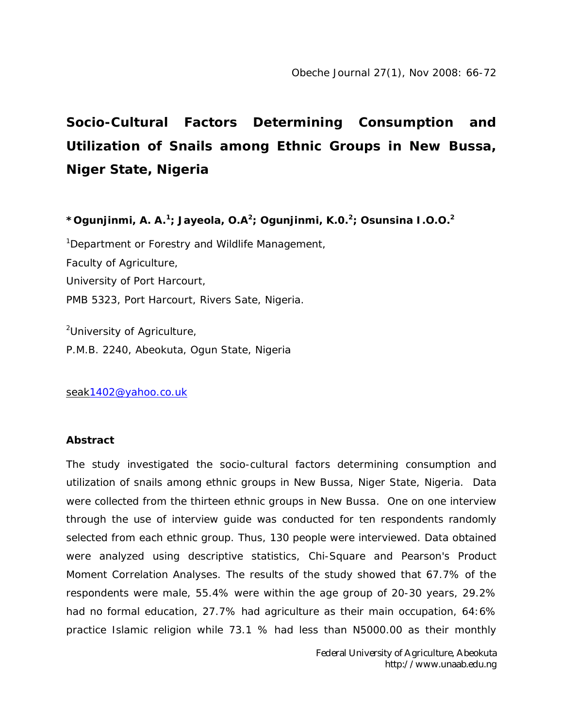**Socio-Cultural Factors Determining Consumption and Utilization of Snails among Ethnic Groups in New Bussa, Niger State, Nigeria** 

**\*Ogunjinmi, A. A. 1 ; Jayeola, O.A<sup>2</sup> ; Ogunjinmi, K.0. 2 ; Osunsina I.O.O. 2**

<sup>1</sup>Department or Forestry and Wildlife Management, Faculty of Agriculture, University of Port Harcourt, PMB 5323, Port Harcourt, Rivers Sate, Nigeria.

<sup>2</sup>University of Agriculture, P.M.B. 2240, Abeokuta, Ogun State, Nigeria

seak1402@yahoo.co.uk

## **Abstract**

The study investigated the socio-cultural factors determining consumption and utilization of snails among ethnic groups in New Bussa, Niger State, Nigeria. Data were collected from the thirteen ethnic groups in New Bussa. One on one interview through the use of interview guide was conducted for ten respondents randomly selected from each ethnic group. Thus, 130 people were interviewed. Data obtained were analyzed using descriptive statistics, Chi-Square and Pearson's Product Moment Correlation Analyses. The results of the study showed that 67.7% of the respondents were male, 55.4% were within the age group of 20-30 years, 29.2% had no formal education, 27.7% had agriculture as their main occupation, 64:6% practice Islamic religion while 73.1 % had less than N5000.00 as their monthly

> Federal University of Agriculture, Abeokuta http://www.unaab.edu.ng